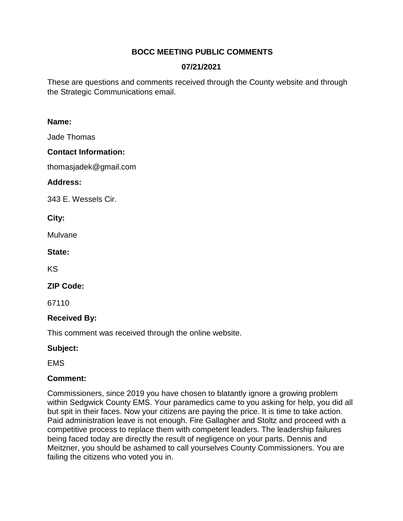# **BOCC MEETING PUBLIC COMMENTS**

# **07/21/2021**

These are questions and comments received through the County website and through the Strategic Communications email.

#### **Name:**

Jade Thomas

## **Contact Information:**

thomasjadek@gmail.com

## **Address:**

343 E. Wessels Cir.

### **City:**

Mulvane

### **State:**

KS

## **ZIP Code:**

67110

## **Received By:**

This comment was received through the online website.

# **Subject:**

EMS

## **Comment:**

Commissioners, since 2019 you have chosen to blatantly ignore a growing problem within Sedgwick County EMS. Your paramedics came to you asking for help, you did all but spit in their faces. Now your citizens are paying the price. It is time to take action. Paid administration leave is not enough. Fire Gallagher and Stoltz and proceed with a competitive process to replace them with competent leaders. The leadership failures being faced today are directly the result of negligence on your parts. Dennis and Meitzner, you should be ashamed to call yourselves County Commissioners. You are failing the citizens who voted you in.